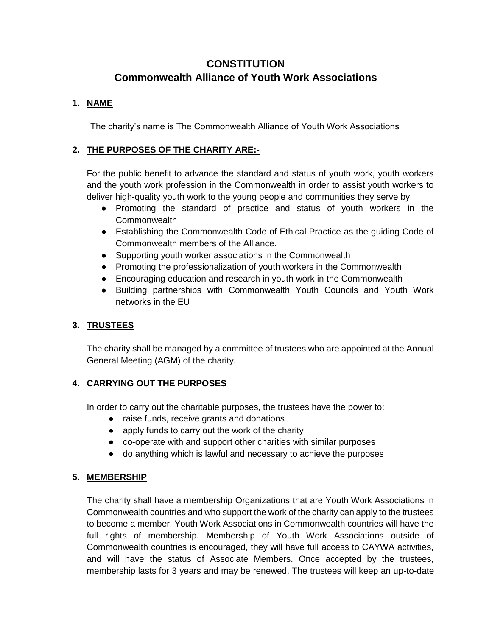# **CONSTITUTION Commonwealth Alliance of Youth Work Associations**

# **1. NAME**

The charity's name is The Commonwealth Alliance of Youth Work Associations

# **2. THE PURPOSES OF THE CHARITY ARE:-**

For the public benefit to advance the standard and status of youth work, youth workers and the youth work profession in the Commonwealth in order to assist youth workers to deliver high-quality youth work to the young people and communities they serve by

- Promoting the standard of practice and status of youth workers in the **Commonwealth**
- Establishing the Commonwealth Code of Ethical Practice as the guiding Code of Commonwealth members of the Alliance.
- Supporting youth worker associations in the Commonwealth
- Promoting the professionalization of youth workers in the Commonwealth
- Encouraging education and research in youth work in the Commonwealth
- Building partnerships with Commonwealth Youth Councils and Youth Work networks in the EU

# **3. TRUSTEES**

The charity shall be managed by a committee of trustees who are appointed at the Annual General Meeting (AGM) of the charity.

# **4. CARRYING OUT THE PURPOSES**

In order to carry out the charitable purposes, the trustees have the power to:

- raise funds, receive grants and donations
- apply funds to carry out the work of the charity
- co-operate with and support other charities with similar purposes
- do anything which is lawful and necessary to achieve the purposes

# **5. MEMBERSHIP**

The charity shall have a membership Organizations that are Youth Work Associations in Commonwealth countries and who support the work of the charity can apply to the trustees to become a member. Youth Work Associations in Commonwealth countries will have the full rights of membership. Membership of Youth Work Associations outside of Commonwealth countries is encouraged, they will have full access to CAYWA activities, and will have the status of Associate Members. Once accepted by the trustees, membership lasts for 3 years and may be renewed. The trustees will keep an up-to-date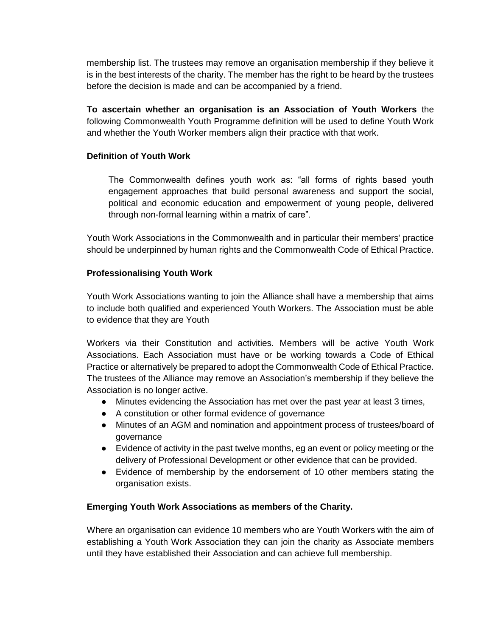membership list. The trustees may remove an organisation membership if they believe it is in the best interests of the charity. The member has the right to be heard by the trustees before the decision is made and can be accompanied by a friend.

**To ascertain whether an organisation is an Association of Youth Workers** the following Commonwealth Youth Programme definition will be used to define Youth Work and whether the Youth Worker members align their practice with that work.

#### **Definition of Youth Work**

The Commonwealth defines youth work as: "all forms of rights based youth engagement approaches that build personal awareness and support the social, political and economic education and empowerment of young people, delivered through non-formal learning within a matrix of care".

Youth Work Associations in the Commonwealth and in particular their members' practice should be underpinned by human rights and the Commonwealth Code of Ethical Practice.

#### **Professionalising Youth Work**

Youth Work Associations wanting to join the Alliance shall have a membership that aims to include both qualified and experienced Youth Workers. The Association must be able to evidence that they are Youth

Workers via their Constitution and activities. Members will be active Youth Work Associations. Each Association must have or be working towards a Code of Ethical Practice or alternatively be prepared to adopt the Commonwealth Code of Ethical Practice. The trustees of the Alliance may remove an Association's membership if they believe the Association is no longer active.

- Minutes evidencing the Association has met over the past year at least 3 times,
- A constitution or other formal evidence of governance
- Minutes of an AGM and nomination and appointment process of trustees/board of governance
- Evidence of activity in the past twelve months, eg an event or policy meeting or the delivery of Professional Development or other evidence that can be provided.
- Evidence of membership by the endorsement of 10 other members stating the organisation exists.

#### **Emerging Youth Work Associations as members of the Charity.**

Where an organisation can evidence 10 members who are Youth Workers with the aim of establishing a Youth Work Association they can join the charity as Associate members until they have established their Association and can achieve full membership.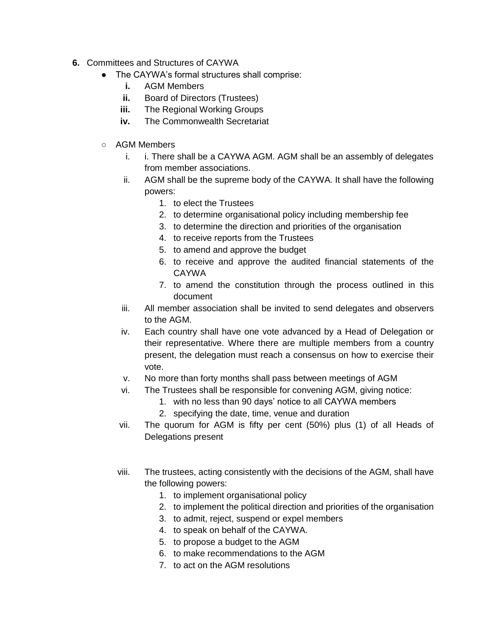- **6.** Committees and Structures of CAYWA
	- The CAYWA's formal structures shall comprise:
		- **i.** AGM Members
		- **ii.** Board of Directors (Trustees)
		- **iii.** The Regional Working Groups
		- **iv.** The Commonwealth Secretariat
	- AGM Members
		- i. i. There shall be a CAYWA AGM. AGM shall be an assembly of delegates from member associations.
		- ii. AGM shall be the supreme body of the CAYWA. It shall have the following powers:
			- 1. to elect the Trustees
			- 2. to determine organisational policy including membership fee
			- 3. to determine the direction and priorities of the organisation
			- 4. to receive reports from the Trustees
			- 5. to amend and approve the budget
			- 6. to receive and approve the audited financial statements of the CAYWA
			- 7. to amend the constitution through the process outlined in this document
		- iii. All member association shall be invited to send delegates and observers to the AGM.
		- iv. Each country shall have one vote advanced by a Head of Delegation or their representative. Where there are multiple members from a country present, the delegation must reach a consensus on how to exercise their vote.
		- v. No more than forty months shall pass between meetings of AGM
		- vi. The Trustees shall be responsible for convening AGM, giving notice:
			- 1. with no less than 90 days' notice to all CAYWA members
			- 2. specifying the date, time, venue and duration
		- vii. The quorum for AGM is fifty per cent (50%) plus (1) of all Heads of Delegations present
		- viii. The trustees, acting consistently with the decisions of the AGM, shall have the following powers:
			- 1. to implement organisational policy
			- 2. to implement the political direction and priorities of the organisation
			- 3. to admit, reject, suspend or expel members
			- 4. to speak on behalf of the CAYWA.
			- 5. to propose a budget to the AGM
			- 6. to make recommendations to the AGM
			- 7. to act on the AGM resolutions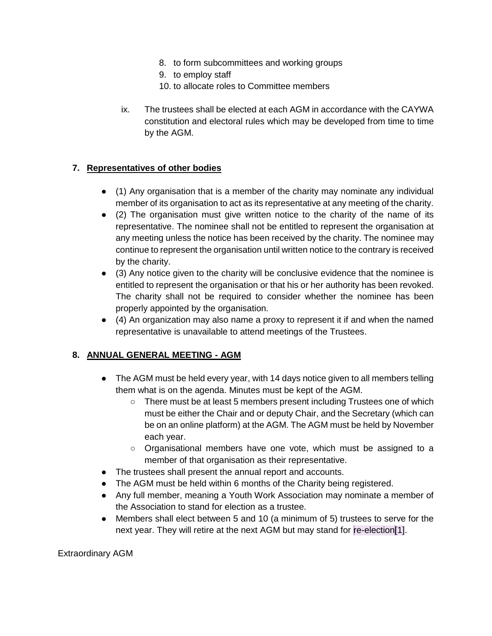- 8. to form subcommittees and working groups
- 9. to employ staff
- 10. to allocate roles to Committee members
- ix. The trustees shall be elected at each AGM in accordance with the CAYWA constitution and electoral rules which may be developed from time to time by the AGM.

# **7. Representatives of other bodies**

- (1) Any organisation that is a member of the charity may nominate any individual member of its organisation to act as its representative at any meeting of the charity.
- (2) The organisation must give written notice to the charity of the name of its representative. The nominee shall not be entitled to represent the organisation at any meeting unless the notice has been received by the charity. The nominee may continue to represent the organisation until written notice to the contrary is received by the charity.
- (3) Any notice given to the charity will be conclusive evidence that the nominee is entitled to represent the organisation or that his or her authority has been revoked. The charity shall not be required to consider whether the nominee has been properly appointed by the organisation.
- $\bullet$  (4) An organization may also name a proxy to represent it if and when the named representative is unavailable to attend meetings of the Trustees.

# **8. ANNUAL GENERAL MEETING - AGM**

- The AGM must be held every year, with 14 days notice given to all members telling them what is on the agenda. Minutes must be kept of the AGM.
	- There must be at least 5 members present including Trustees one of which must be either the Chair and or deputy Chair, and the Secretary (which can be on an online platform) at the AGM. The AGM must be held by November each year.
	- Organisational members have one vote, which must be assigned to a member of that organisation as their representative.
- The trustees shall present the annual report and accounts.
- The AGM must be held within 6 months of the Charity being registered.
- Any full member, meaning a Youth Work Association may nominate a member of the Association to stand for election as a trustee.
- Members shall elect between 5 and 10 (a minimum of 5) trustees to serve for the next year. They will retire at the next AGM but may stand for re-election[1].

Extraordinary AGM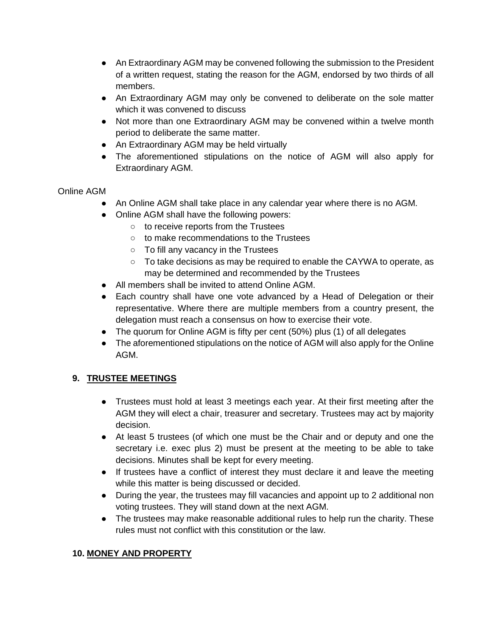- An Extraordinary AGM may be convened following the submission to the President of a written request, stating the reason for the AGM, endorsed by two thirds of all members.
- An Extraordinary AGM may only be convened to deliberate on the sole matter which it was convened to discuss
- Not more than one Extraordinary AGM may be convened within a twelve month period to deliberate the same matter.
- An Extraordinary AGM may be held virtually
- The aforementioned stipulations on the notice of AGM will also apply for Extraordinary AGM.

# Online AGM

- An Online AGM shall take place in any calendar year where there is no AGM.
- Online AGM shall have the following powers:
	- to receive reports from the Trustees
	- to make recommendations to the Trustees
	- To fill any vacancy in the Trustees
	- To take decisions as may be required to enable the CAYWA to operate, as may be determined and recommended by the Trustees
- All members shall be invited to attend Online AGM.
- Each country shall have one vote advanced by a Head of Delegation or their representative. Where there are multiple members from a country present, the delegation must reach a consensus on how to exercise their vote.
- The quorum for Online AGM is fifty per cent (50%) plus (1) of all delegates
- The aforementioned stipulations on the notice of AGM will also apply for the Online AGM.

# **9. TRUSTEE MEETINGS**

- Trustees must hold at least 3 meetings each year. At their first meeting after the AGM they will elect a chair, treasurer and secretary. Trustees may act by majority decision.
- At least 5 trustees (of which one must be the Chair and or deputy and one the secretary i.e. exec plus 2) must be present at the meeting to be able to take decisions. Minutes shall be kept for every meeting.
- If trustees have a conflict of interest they must declare it and leave the meeting while this matter is being discussed or decided.
- During the year, the trustees may fill vacancies and appoint up to 2 additional non voting trustees. They will stand down at the next AGM.
- The trustees may make reasonable additional rules to help run the charity. These rules must not conflict with this constitution or the law.

# **10. MONEY AND PROPERTY**